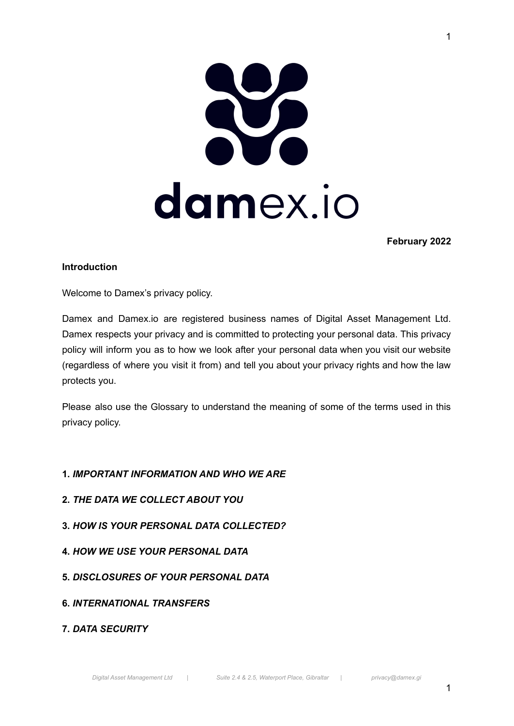

**February 2022**

#### **Introduction**

Welcome to Damex's privacy policy.

Damex and Damex.io are registered business names of Digital Asset Management Ltd. Damex respects your privacy and is committed to protecting your personal data. This privacy policy will inform you as to how we look after your personal data when you visit our website (regardless of where you visit it from) and tell you about your privacy rights and how the law protects you.

Please also use the Glossary to understand the meaning of some of the terms used in this privacy policy.

# **1.** *IMPORTANT INFORMATION AND WHO WE ARE*

- **2.** *THE DATA WE COLLECT ABOUT YOU*
- **3.** *HOW IS YOUR PERSONAL DATA COLLECTED?*
- **4.** *HOW WE USE YOUR PERSONAL DATA*
- **5.** *DISCLOSURES OF YOUR PERSONAL DATA*
- **6.** *INTERNATIONAL TRANSFERS*
- **7.** *DATA SECURITY*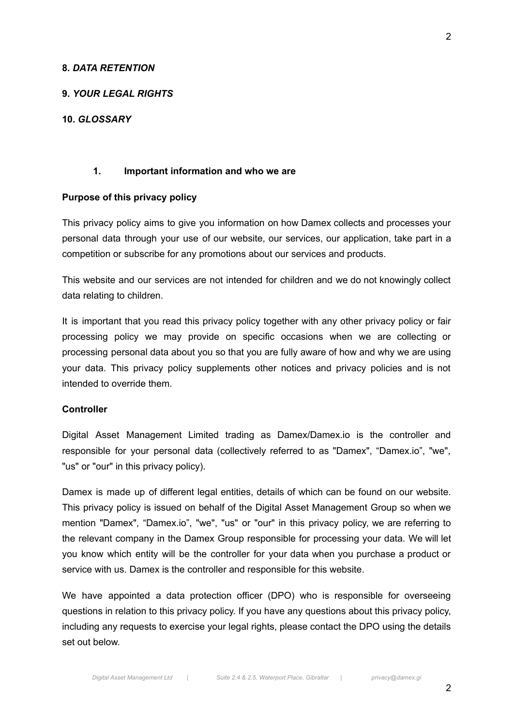#### **8.** *DATA RETENTION*

### **9.** *YOUR LEGAL RIGHTS*

### **10.** *GLOSSARY*

#### **1. Important information and who we are**

#### **Purpose of this privacy policy**

This privacy policy aims to give you information on how Damex collects and processes your personal data through your use of our website, our services, our application, take part in a competition or subscribe for any promotions about our services and products.

This website and our services are not intended for children and we do not knowingly collect data relating to children.

It is important that you read this privacy policy together with any other privacy policy or fair processing policy we may provide on specific occasions when we are collecting or processing personal data about you so that you are fully aware of how and why we are using your data. This privacy policy supplements other notices and privacy policies and is not intended to override them.

#### **Controller**

Digital Asset Management Limited trading as Damex/Damex.io is the controller and responsible for your personal data (collectively referred to as "Damex", "Damex.io", "we", "us" or "our" in this privacy policy).

Damex is made up of different legal entities, details of which can be found on our website. This privacy policy is issued on behalf of the Digital Asset Management Group so when we mention "Damex", "Damex.io", "we", "us" or "our" in this privacy policy, we are referring to the relevant company in the Damex Group responsible for processing your data. We will let you know which entity will be the controller for your data when you purchase a product or service with us. Damex is the controller and responsible for this website.

We have appointed a data protection officer (DPO) who is responsible for overseeing questions in relation to this privacy policy. If you have any questions about this privacy policy, including any requests to exercise your legal rights, please contact the DPO using the details set out below.

2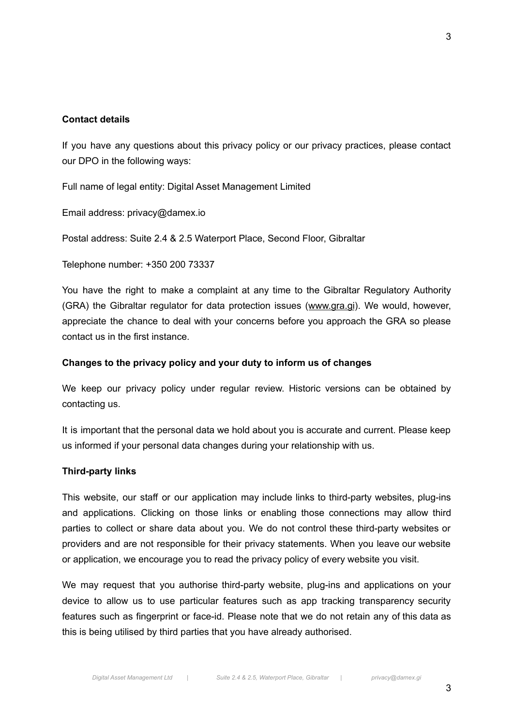# **Contact details**

If you have any questions about this privacy policy or our privacy practices, please contact our DPO in the following ways:

Full name of legal entity: Digital Asset Management Limited

Email address: privacy@damex.io

Postal address: Suite 2.4 & 2.5 Waterport Place, Second Floor, Gibraltar

Telephone number: +350 200 73337

You have the right to make a complaint at any time to the Gibraltar Regulatory Authority (GRA) the Gibraltar regulator for data protection issues (www.gra.gi). We would, however, appreciate the chance to deal with your concerns before you approach the GRA so please contact us in the first instance.

### **Changes to the privacy policy and your duty to inform us of changes**

We keep our privacy policy under regular review. Historic versions can be obtained by contacting us.

It is important that the personal data we hold about you is accurate and current. Please keep us informed if your personal data changes during your relationship with us.

#### **Third-party links**

This website, our staff or our application may include links to third-party websites, plug-ins and applications. Clicking on those links or enabling those connections may allow third parties to collect or share data about you. We do not control these third-party websites or providers and are not responsible for their privacy statements. When you leave our website or application, we encourage you to read the privacy policy of every website you visit.

We may request that you authorise third-party website, plug-ins and applications on your device to allow us to use particular features such as app tracking transparency security features such as fingerprint or face-id. Please note that we do not retain any of this data as this is being utilised by third parties that you have already authorised.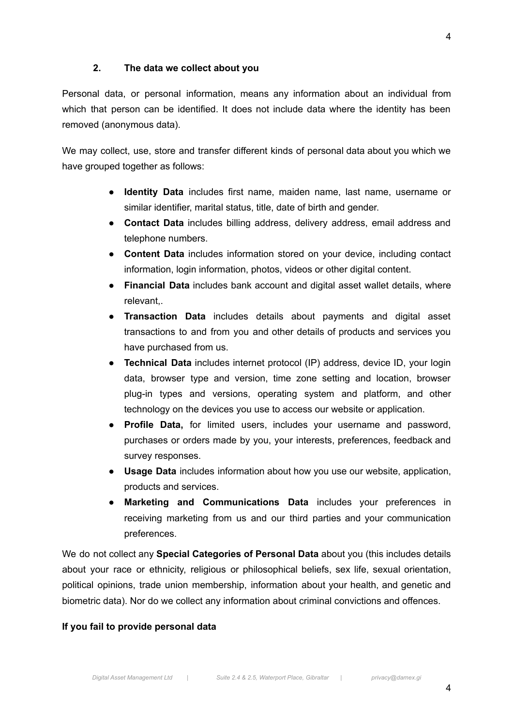4

#### **2. The data we collect about you**

Personal data, or personal information, means any information about an individual from which that person can be identified. It does not include data where the identity has been removed (anonymous data).

We may collect, use, store and transfer different kinds of personal data about you which we have grouped together as follows:

- **Identity Data** includes first name, maiden name, last name, username or similar identifier, marital status, title, date of birth and gender.
- **Contact Data** includes billing address, delivery address, email address and telephone numbers.
- **● Content Data** includes information stored on your device, including contact information, login information, photos, videos or other digital content.
- **Financial Data** includes bank account and digital asset wallet details, where relevant
- **Transaction Data** includes details about payments and digital asset transactions to and from you and other details of products and services you have purchased from us.
- **Technical Data** includes internet protocol (IP) address, device ID, your login data, browser type and version, time zone setting and location, browser plug-in types and versions, operating system and platform, and other technology on the devices you use to access our website or application.
- **Profile Data,** for limited users, includes your username and password, purchases or orders made by you, your interests, preferences, feedback and survey responses.
- **Usage Data** includes information about how you use our website, application, products and services.
- **Marketing and Communications Data** includes your preferences in receiving marketing from us and our third parties and your communication preferences.

We do not collect any **Special Categories of Personal Data** about you (this includes details about your race or ethnicity, religious or philosophical beliefs, sex life, sexual orientation, political opinions, trade union membership, information about your health, and genetic and biometric data). Nor do we collect any information about criminal convictions and offences.

#### **If you fail to provide personal data**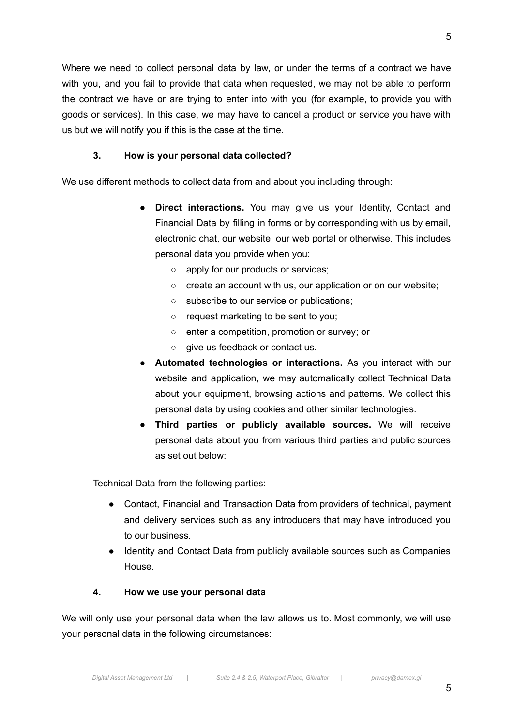Where we need to collect personal data by law, or under the terms of a contract we have with you, and you fail to provide that data when requested, we may not be able to perform the contract we have or are trying to enter into with you (for example, to provide you with goods or services). In this case, we may have to cancel a product or service you have with us but we will notify you if this is the case at the time.

# **3. How is your personal data collected?**

We use different methods to collect data from and about you including through:

- **Direct interactions.** You may give us your Identity, Contact and Financial Data by filling in forms or by corresponding with us by email, electronic chat, our website, our web portal or otherwise. This includes personal data you provide when you:
	- apply for our products or services;
	- create an account with us, our application or on our website;
	- subscribe to our service or publications;
	- request marketing to be sent to you;
	- enter a competition, promotion or survey; or
	- give us feedback or contact us.
- **Automated technologies or interactions.** As you interact with our website and application, we may automatically collect Technical Data about your equipment, browsing actions and patterns. We collect this personal data by using cookies and other similar technologies.
- **Third parties or publicly available sources.** We will receive personal data about you from various third parties and public sources as set out below:

Technical Data from the following parties:

- Contact, Financial and Transaction Data from providers of technical, payment and delivery services such as any introducers that may have introduced you to our business.
- Identity and Contact Data from publicly available sources such as Companies House.

# **4. How we use your personal data**

We will only use your personal data when the law allows us to. Most commonly, we will use your personal data in the following circumstances: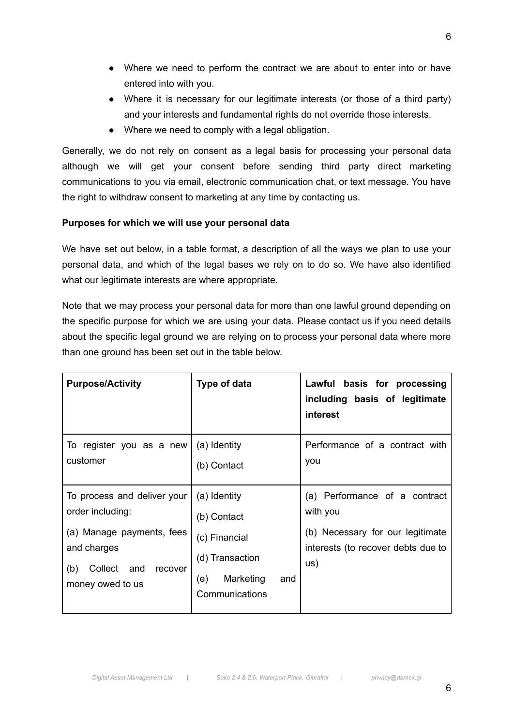- Where we need to perform the contract we are about to enter into or have entered into with you.
- Where it is necessary for our legitimate interests (or those of a third party) and your interests and fundamental rights do not override those interests.
- Where we need to comply with a legal obligation.

Generally, we do not rely on consent as a legal basis for processing your personal data although we will get your consent before sending third party direct marketing communications to you via email, electronic communication chat, or text message. You have the right to withdraw consent to marketing at any time by contacting us.

# **Purposes for which we will use your personal data**

We have set out below, in a table format, a description of all the ways we plan to use your personal data, and which of the legal bases we rely on to do so. We have also identified what our legitimate interests are where appropriate.

Note that we may process your personal data for more than one lawful ground depending on the specific purpose for which we are using your data. Please contact us if you need details about the specific legal ground we are relying on to process your personal data where more than one ground has been set out in the table below.

| <b>Purpose/Activity</b>                                                                                                                             | Type of data                                                                                                 | Lawful basis for processing<br>including basis of legitimate<br>interest                                                   |
|-----------------------------------------------------------------------------------------------------------------------------------------------------|--------------------------------------------------------------------------------------------------------------|----------------------------------------------------------------------------------------------------------------------------|
| To register you as a new<br>customer                                                                                                                | (a) Identity<br>(b) Contact                                                                                  | Performance of a contract with<br>you                                                                                      |
| To process and deliver your<br>order including:<br>(a) Manage payments, fees<br>and charges<br>Collect<br>and<br>(b)<br>recover<br>money owed to us | (a) Identity<br>(b) Contact<br>(c) Financial<br>(d) Transaction<br>Marketing<br>(e)<br>and<br>Communications | (a) Performance of a contract<br>with you<br>(b) Necessary for our legitimate<br>interests (to recover debts due to<br>US) |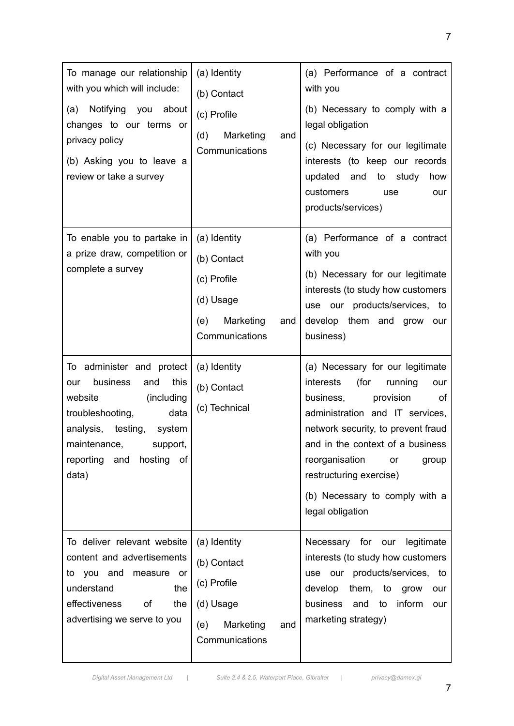| To manage our relationship<br>with you which will include:<br>about<br>Notifying you<br>(a)<br>changes to our terms or<br>privacy policy<br>(b) Asking you to leave a<br>review or take a survey                                                                                                            | (a) Identity<br>(b) Contact<br>(c) Profile<br>(d)<br>Marketing<br>and<br>Communications                                                              | (a) Performance of a contract<br>with you<br>(b) Necessary to comply with a<br>legal obligation<br>(c) Necessary for our legitimate<br>interests (to keep our records<br>updated and<br>to<br>study<br>how<br>customers<br>use<br>our<br>products/services)                                                                                                                                                                                                                                                                             |
|-------------------------------------------------------------------------------------------------------------------------------------------------------------------------------------------------------------------------------------------------------------------------------------------------------------|------------------------------------------------------------------------------------------------------------------------------------------------------|-----------------------------------------------------------------------------------------------------------------------------------------------------------------------------------------------------------------------------------------------------------------------------------------------------------------------------------------------------------------------------------------------------------------------------------------------------------------------------------------------------------------------------------------|
| To enable you to partake in<br>a prize draw, competition or<br>complete a survey<br>To administer and protect<br>this<br>business<br>and<br>our<br>(including<br>website<br>data<br>troubleshooting,<br>analysis, testing,<br>system<br>maintenance,<br>support,<br>reporting and<br>hosting<br>of<br>data) | (a) Identity<br>(b) Contact<br>(c) Profile<br>(d) Usage<br>Marketing<br>(e)<br>and<br>Communications<br>(a) Identity<br>(b) Contact<br>(c) Technical | (a) Performance of a contract<br>with you<br>(b) Necessary for our legitimate<br>interests (to study how customers<br>use our products/services, to<br>develop them and grow our<br>business)<br>(a) Necessary for our legitimate<br>(for<br>interests<br>running<br>our<br>business,<br>provision<br>οf<br>administration and IT services,<br>network security, to prevent fraud<br>and in the context of a business<br>reorganisation<br>group<br>or<br>restructuring exercise)<br>(b) Necessary to comply with a<br>legal obligation |
| To deliver relevant website<br>content and advertisements<br>to you<br>and<br>measure or<br>understand<br>the<br>effectiveness<br>οf<br>the<br>advertising we serve to you                                                                                                                                  | (a) Identity<br>(b) Contact<br>(c) Profile<br>(d) Usage<br>Marketing<br>(e)<br>and<br>Communications                                                 | Necessary for our legitimate<br>interests (to study how customers<br>use our products/services, to<br>develop<br>them, to grow<br>our<br>business<br>inform<br>and<br>to<br>our<br>marketing strategy)                                                                                                                                                                                                                                                                                                                                  |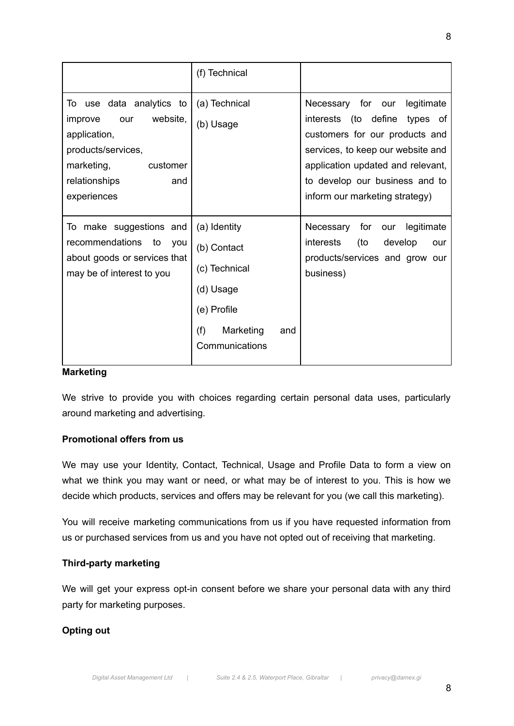|                                                                                                                                                               | (f) Technical                                                                                                         |                                                                                                                                                                                                                                                     |
|---------------------------------------------------------------------------------------------------------------------------------------------------------------|-----------------------------------------------------------------------------------------------------------------------|-----------------------------------------------------------------------------------------------------------------------------------------------------------------------------------------------------------------------------------------------------|
| To use data analytics to<br>website,<br>improve<br>our<br>application,<br>products/services,<br>marketing,<br>customer<br>relationships<br>and<br>experiences | (a) Technical<br>(b) Usage                                                                                            | Necessary for our<br>legitimate<br>interests (to define<br>types of<br>customers for our products and<br>services, to keep our website and<br>application updated and relevant,<br>to develop our business and to<br>inform our marketing strategy) |
| To make suggestions and<br>recommendations<br>to<br>you<br>about goods or services that<br>may be of interest to you                                          | (a) Identity<br>(b) Contact<br>(c) Technical<br>(d) Usage<br>(e) Profile<br>(f)<br>Marketing<br>and<br>Communications | Necessary<br>for<br>legitimate<br>our<br><i>interests</i><br>(to<br>develop<br>our<br>products/services and grow our<br>business)                                                                                                                   |

#### **Marketing**

We strive to provide you with choices regarding certain personal data uses, particularly around marketing and advertising.

### **Promotional offers from us**

We may use your Identity, Contact, Technical, Usage and Profile Data to form a view on what we think you may want or need, or what may be of interest to you. This is how we decide which products, services and offers may be relevant for you (we call this marketing).

You will receive marketing communications from us if you have requested information from us or purchased services from us and you have not opted out of receiving that marketing.

### **Third-party marketing**

We will get your express opt-in consent before we share your personal data with any third party for marketing purposes.

# **Opting out**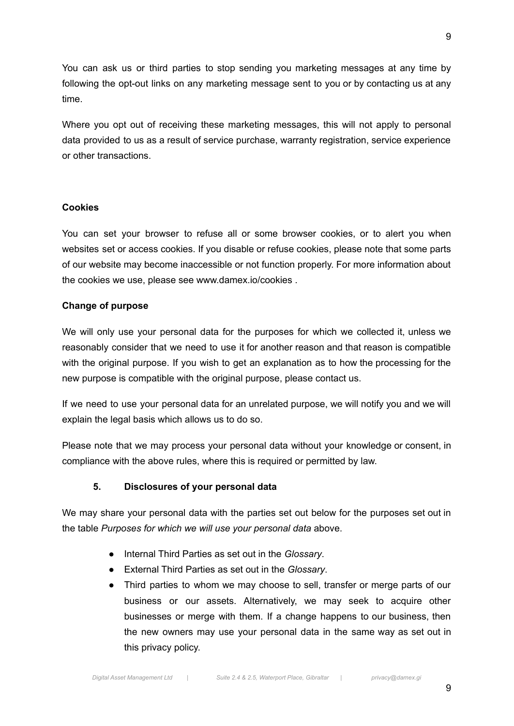You can ask us or third parties to stop sending you marketing messages at any time by following the opt-out links on any marketing message sent to you or by contacting us at any time.

Where you opt out of receiving these marketing messages, this will not apply to personal data provided to us as a result of service purchase, warranty registration, service experience or other transactions.

### **Cookies**

You can set your browser to refuse all or some browser cookies, or to alert you when websites set or access cookies. If you disable or refuse cookies, please note that some parts of our website may become inaccessible or not function properly. For more information about the cookies we use, please see www.damex.io/cookies .

### **Change of purpose**

We will only use your personal data for the purposes for which we collected it, unless we reasonably consider that we need to use it for another reason and that reason is compatible with the original purpose. If you wish to get an explanation as to how the processing for the new purpose is compatible with the original purpose, please contact us.

If we need to use your personal data for an unrelated purpose, we will notify you and we will explain the legal basis which allows us to do so.

Please note that we may process your personal data without your knowledge or consent, in compliance with the above rules, where this is required or permitted by law.

# **5. Disclosures of your personal data**

We may share your personal data with the parties set out below for the purposes set out in the table *Purposes for which we will use your personal data* above.

- Internal Third Parties as set out in the *Glossary*.
- External Third Parties as set out in the *Glossary*.
- Third parties to whom we may choose to sell, transfer or merge parts of our business or our assets. Alternatively, we may seek to acquire other businesses or merge with them. If a change happens to our business, then the new owners may use your personal data in the same way as set out in this privacy policy.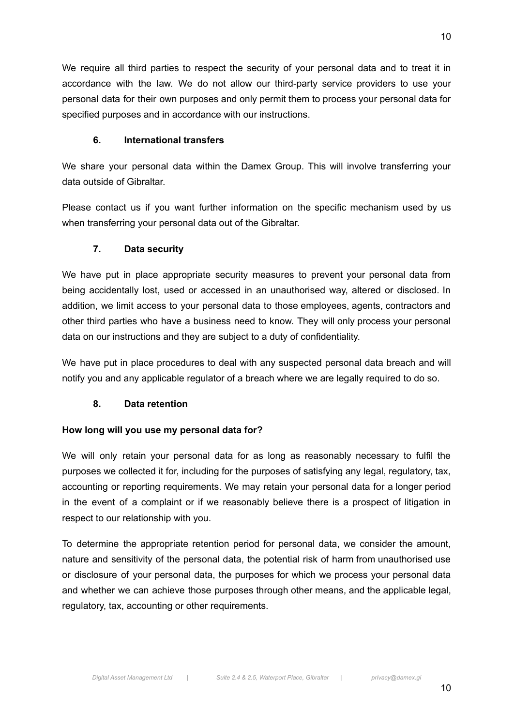We require all third parties to respect the security of your personal data and to treat it in accordance with the law. We do not allow our third-party service providers to use your personal data for their own purposes and only permit them to process your personal data for specified purposes and in accordance with our instructions.

# **6. International transfers**

We share your personal data within the Damex Group. This will involve transferring your data outside of Gibraltar.

Please contact us if you want further information on the specific mechanism used by us when transferring your personal data out of the Gibraltar.

# **7. Data security**

We have put in place appropriate security measures to prevent your personal data from being accidentally lost, used or accessed in an unauthorised way, altered or disclosed. In addition, we limit access to your personal data to those employees, agents, contractors and other third parties who have a business need to know. They will only process your personal data on our instructions and they are subject to a duty of confidentiality.

We have put in place procedures to deal with any suspected personal data breach and will notify you and any applicable regulator of a breach where we are legally required to do so.

# **8. Data retention**

# **How long will you use my personal data for?**

We will only retain your personal data for as long as reasonably necessary to fulfil the purposes we collected it for, including for the purposes of satisfying any legal, regulatory, tax, accounting or reporting requirements. We may retain your personal data for a longer period in the event of a complaint or if we reasonably believe there is a prospect of litigation in respect to our relationship with you.

To determine the appropriate retention period for personal data, we consider the amount, nature and sensitivity of the personal data, the potential risk of harm from unauthorised use or disclosure of your personal data, the purposes for which we process your personal data and whether we can achieve those purposes through other means, and the applicable legal, regulatory, tax, accounting or other requirements.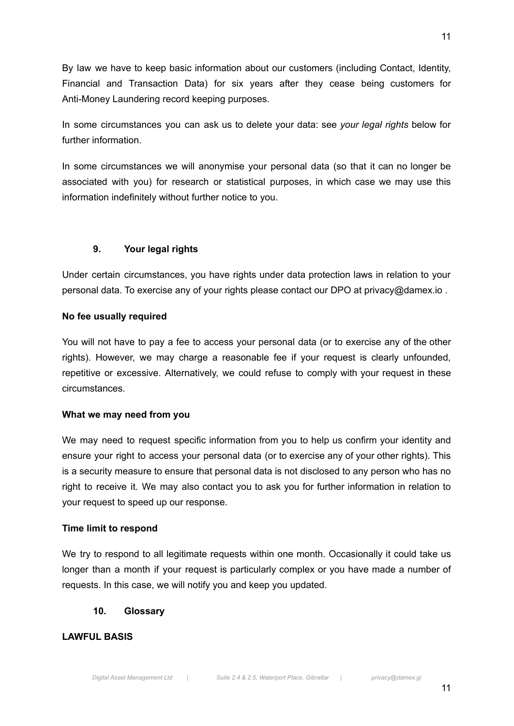By law we have to keep basic information about our customers (including Contact, Identity, Financial and Transaction Data) for six years after they cease being customers for Anti-Money Laundering record keeping purposes.

In some circumstances you can ask us to delete your data: see *your legal rights* below for further information.

In some circumstances we will anonymise your personal data (so that it can no longer be associated with you) for research or statistical purposes, in which case we may use this information indefinitely without further notice to you.

# **9. Your legal rights**

Under certain circumstances, you have rights under data protection laws in relation to your personal data. To exercise any of your rights please contact our DPO at privacy@damex.io .

# **No fee usually required**

You will not have to pay a fee to access your personal data (or to exercise any of the other rights). However, we may charge a reasonable fee if your request is clearly unfounded, repetitive or excessive. Alternatively, we could refuse to comply with your request in these circumstances.

#### **What we may need from you**

We may need to request specific information from you to help us confirm your identity and ensure your right to access your personal data (or to exercise any of your other rights). This is a security measure to ensure that personal data is not disclosed to any person who has no right to receive it. We may also contact you to ask you for further information in relation to your request to speed up our response.

#### **Time limit to respond**

We try to respond to all legitimate requests within one month. Occasionally it could take us longer than a month if your request is particularly complex or you have made a number of requests. In this case, we will notify you and keep you updated.

# **10. Glossary**

# **LAWFUL BASIS**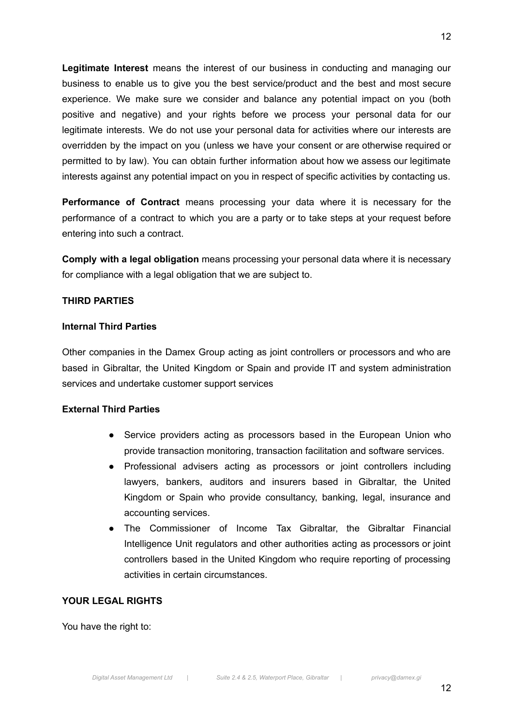**Legitimate Interest** means the interest of our business in conducting and managing our business to enable us to give you the best service/product and the best and most secure experience. We make sure we consider and balance any potential impact on you (both positive and negative) and your rights before we process your personal data for our legitimate interests. We do not use your personal data for activities where our interests are overridden by the impact on you (unless we have your consent or are otherwise required or permitted to by law). You can obtain further information about how we assess our legitimate interests against any potential impact on you in respect of specific activities by contacting us.

**Performance of Contract** means processing your data where it is necessary for the performance of a contract to which you are a party or to take steps at your request before entering into such a contract.

**Comply with a legal obligation** means processing your personal data where it is necessary for compliance with a legal obligation that we are subject to.

#### **THIRD PARTIES**

### **Internal Third Parties**

Other companies in the Damex Group acting as joint controllers or processors and who are based in Gibraltar, the United Kingdom or Spain and provide IT and system administration services and undertake customer support services

#### **External Third Parties**

- Service providers acting as processors based in the European Union who provide transaction monitoring, transaction facilitation and software services.
- Professional advisers acting as processors or joint controllers including lawyers, bankers, auditors and insurers based in Gibraltar, the United Kingdom or Spain who provide consultancy, banking, legal, insurance and accounting services.
- The Commissioner of Income Tax Gibraltar, the Gibraltar Financial Intelligence Unit regulators and other authorities acting as processors or joint controllers based in the United Kingdom who require reporting of processing activities in certain circumstances.

# **YOUR LEGAL RIGHTS**

You have the right to: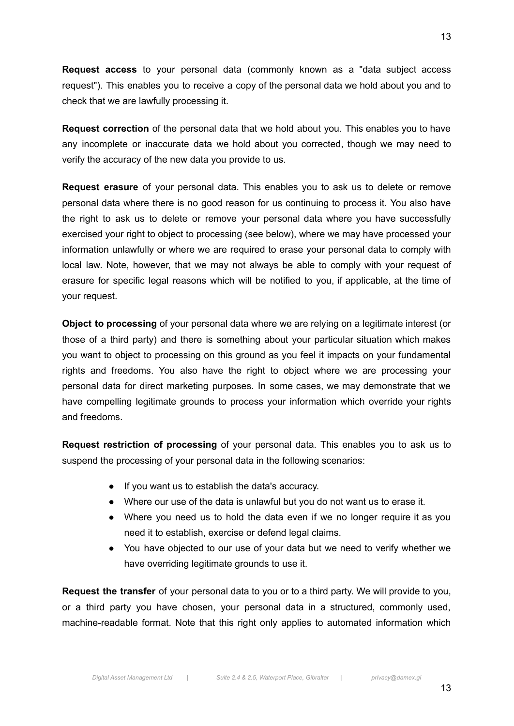**Request access** to your personal data (commonly known as a "data subject access request"). This enables you to receive a copy of the personal data we hold about you and to check that we are lawfully processing it.

**Request correction** of the personal data that we hold about you. This enables you to have any incomplete or inaccurate data we hold about you corrected, though we may need to verify the accuracy of the new data you provide to us.

**Request erasure** of your personal data. This enables you to ask us to delete or remove personal data where there is no good reason for us continuing to process it. You also have the right to ask us to delete or remove your personal data where you have successfully exercised your right to object to processing (see below), where we may have processed your information unlawfully or where we are required to erase your personal data to comply with local law. Note, however, that we may not always be able to comply with your request of erasure for specific legal reasons which will be notified to you, if applicable, at the time of your request.

**Object to processing** of your personal data where we are relying on a legitimate interest (or those of a third party) and there is something about your particular situation which makes you want to object to processing on this ground as you feel it impacts on your fundamental rights and freedoms. You also have the right to object where we are processing your personal data for direct marketing purposes. In some cases, we may demonstrate that we have compelling legitimate grounds to process your information which override your rights and freedoms.

**Request restriction of processing** of your personal data. This enables you to ask us to suspend the processing of your personal data in the following scenarios:

- If you want us to establish the data's accuracy.
- Where our use of the data is unlawful but you do not want us to erase it.
- Where you need us to hold the data even if we no longer require it as you need it to establish, exercise or defend legal claims.
- You have objected to our use of your data but we need to verify whether we have overriding legitimate grounds to use it.

**Request the transfer** of your personal data to you or to a third party. We will provide to you, or a third party you have chosen, your personal data in a structured, commonly used, machine-readable format. Note that this right only applies to automated information which